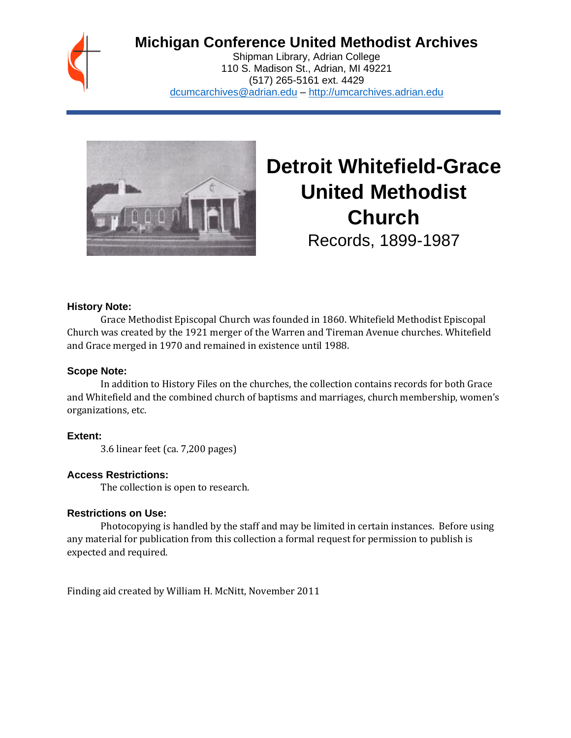

## **Michigan Conference United Methodist Archives**

Shipman Library, Adrian College 110 S. Madison St., Adrian, MI 49221 (517) 265-5161 ext. 4429 [dcumcarchives@adrian.edu](mailto:dcumcarchives@adrian.edu) – [http://umcarchives.adrian.edu](http://umcarchives.adrian.edu/)



# **Detroit Whitefield-Grace United Methodist Church**

Records, 1899-1987

#### **History Note:**

Grace Methodist Episcopal Church was founded in 1860. Whitefield Methodist Episcopal Church was created by the 1921 merger of the Warren and Tireman Avenue churches. Whitefield and Grace merged in 1970 and remained in existence until 1988.

#### **Scope Note:**

In addition to History Files on the churches, the collection contains records for both Grace and Whitefield and the combined church of baptisms and marriages, church membership, women's organizations, etc.

**Extent:**

3.6 linear feet (ca. 7,200 pages)

#### **Access Restrictions:**

The collection is open to research.

#### **Restrictions on Use:**

Photocopying is handled by the staff and may be limited in certain instances. Before using any material for publication from this collection a formal request for permission to publish is expected and required.

Finding aid created by William H. McNitt, November 2011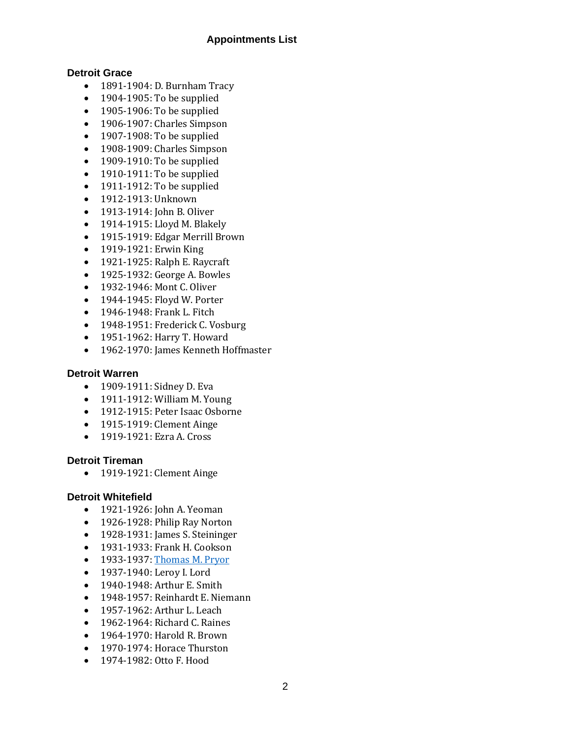#### **Appointments List**

#### **Detroit Grace**

- 1891-1904: D. Burnham Tracy
- 1904-1905: To be supplied
- 1905-1906: To be supplied
- 1906-1907: Charles Simpson
- 1907-1908: To be supplied
- 1908-1909: Charles Simpson
- 1909-1910: To be supplied
- 1910-1911: To be supplied
- 1911-1912: To be supplied
- 1912-1913: Unknown
- 1913-1914: John B. Oliver
- 1914-1915: Lloyd M. Blakely
- 1915-1919: Edgar Merrill Brown
- 1919-1921: Erwin King
- 1921-1925: Ralph E. Raycraft
- 1925-1932: George A. Bowles
- 1932-1946: Mont C. Oliver
- 1944-1945: Floyd W. Porter
- 1946-1948: Frank L. Fitch
- 1948-1951: Frederick C. Vosburg
- 1951-1962: Harry T. Howard
- 1962-1970: James Kenneth Hoffmaster

#### **Detroit Warren**

- 1909-1911: Sidney D. Eva
- 1911-1912: William M. Young
- 1912-1915: Peter Isaac Osborne
- 1915-1919: Clement Ainge
- 1919-1921: Ezra A. Cross

#### **Detroit Tireman**

• 1919-1921: Clement Ainge

#### **Detroit Whitefield**

- 1921-1926: John A. Yeoman
- 1926-1928: Philip Ray Norton
- 1928-1931: James S. Steininger
- 1931-1933: Frank H. Cookson
- 1933-1937[: Thomas M. Pryor](http://umcarchives.adrian.edu/clergy/pryortm.php)
- 1937-1940: Leroy I. Lord
- 1940-1948: Arthur E. Smith
- 1948-1957: Reinhardt E. Niemann
- 1957-1962: Arthur L. Leach
- 1962-1964: Richard C. Raines
- 1964-1970: Harold R. Brown
- 1970-1974: Horace Thurston
- 1974-1982: Otto F. Hood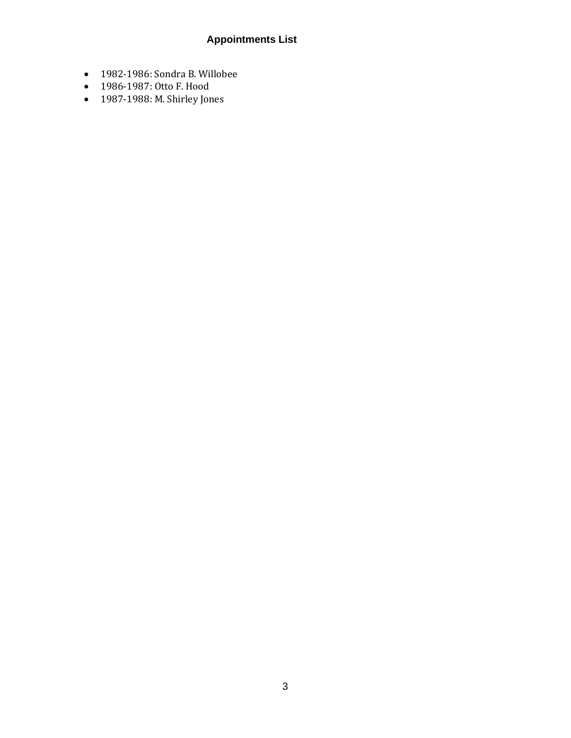## **Appointments List**

- 1982-1986: Sondra B. Willobee
- 1986-1987: Otto F. Hood
- 1987-1988: M. Shirley Jones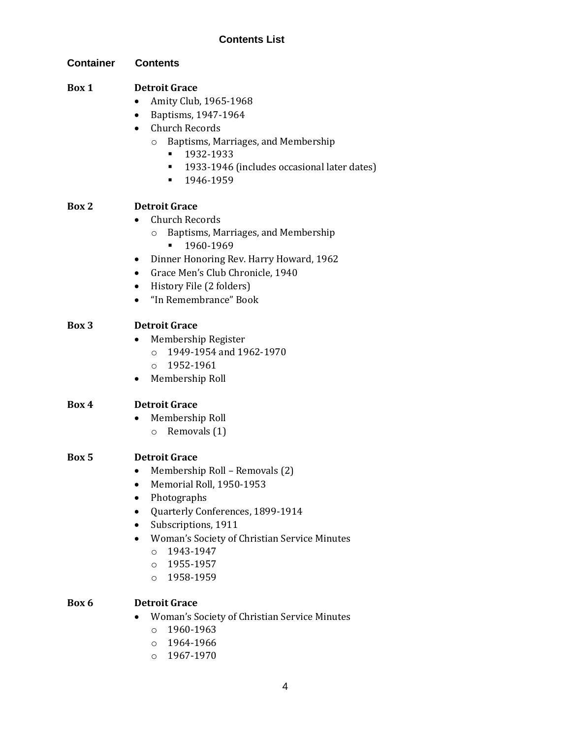## **Contents List**

| <b>Container</b> | <b>Contents</b>                                                                                                                                                                                                                                                                                   |
|------------------|---------------------------------------------------------------------------------------------------------------------------------------------------------------------------------------------------------------------------------------------------------------------------------------------------|
| Box 1            | <b>Detroit Grace</b><br>Amity Club, 1965-1968<br>Baptisms, 1947-1964<br>Church Records<br>Baptisms, Marriages, and Membership<br>$\circ$<br>1932-1933<br>1933-1946 (includes occasional later dates)<br>٠<br>1946-1959<br>٠                                                                       |
| Box 2            | <b>Detroit Grace</b><br><b>Church Records</b><br>Baptisms, Marriages, and Membership<br>$\circ$<br>1960-1969<br>Dinner Honoring Rev. Harry Howard, 1962<br>Grace Men's Club Chronicle, 1940<br>$\bullet$<br>History File (2 folders)<br>"In Remembrance" Book                                     |
| <b>Box 3</b>     | <b>Detroit Grace</b><br>Membership Register<br>1949-1954 and 1962-1970<br>$\circ$<br>1952-1961<br>$\circ$<br>Membership Roll                                                                                                                                                                      |
| Box 4            | <b>Detroit Grace</b><br>Membership Roll<br>Removals (1)<br>$\circ$                                                                                                                                                                                                                                |
| Box 5            | <b>Detroit Grace</b><br>Membership Roll - Removals (2)<br>$\bullet$<br>Memorial Roll, 1950-1953<br>Photographs<br>Quarterly Conferences, 1899-1914<br>Subscriptions, 1911<br>Woman's Society of Christian Service Minutes<br>1943-1947<br>$\circ$<br>1955-1957<br>$\circ$<br>1958-1959<br>$\circ$ |
| Box 6            | <b>Detroit Grace</b><br>Woman's Society of Christian Service Minutes<br>1960-1963<br>$\circ$<br>1964-1966<br>$\circ$<br>1967-1970<br>$\circ$                                                                                                                                                      |